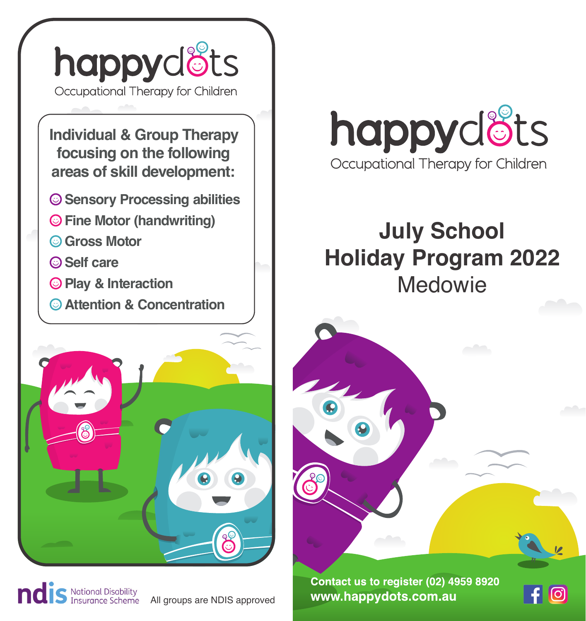

**Individual & Group Therapy focusing on the following areas of skill development:**

- **Sensory Processing abilities**
- **Fine Motor (handwriting)**
- **Gross Motor**
- **Self care**
- **Play & Interaction**
- **Attention & Concentration**



S National Disability<br>S Insurance Scheme

All groups are NDIS approved



# **July School Holiday Program 2022** Medowie

Contact us to register (02) 4959 8920 www.happydots.com.au